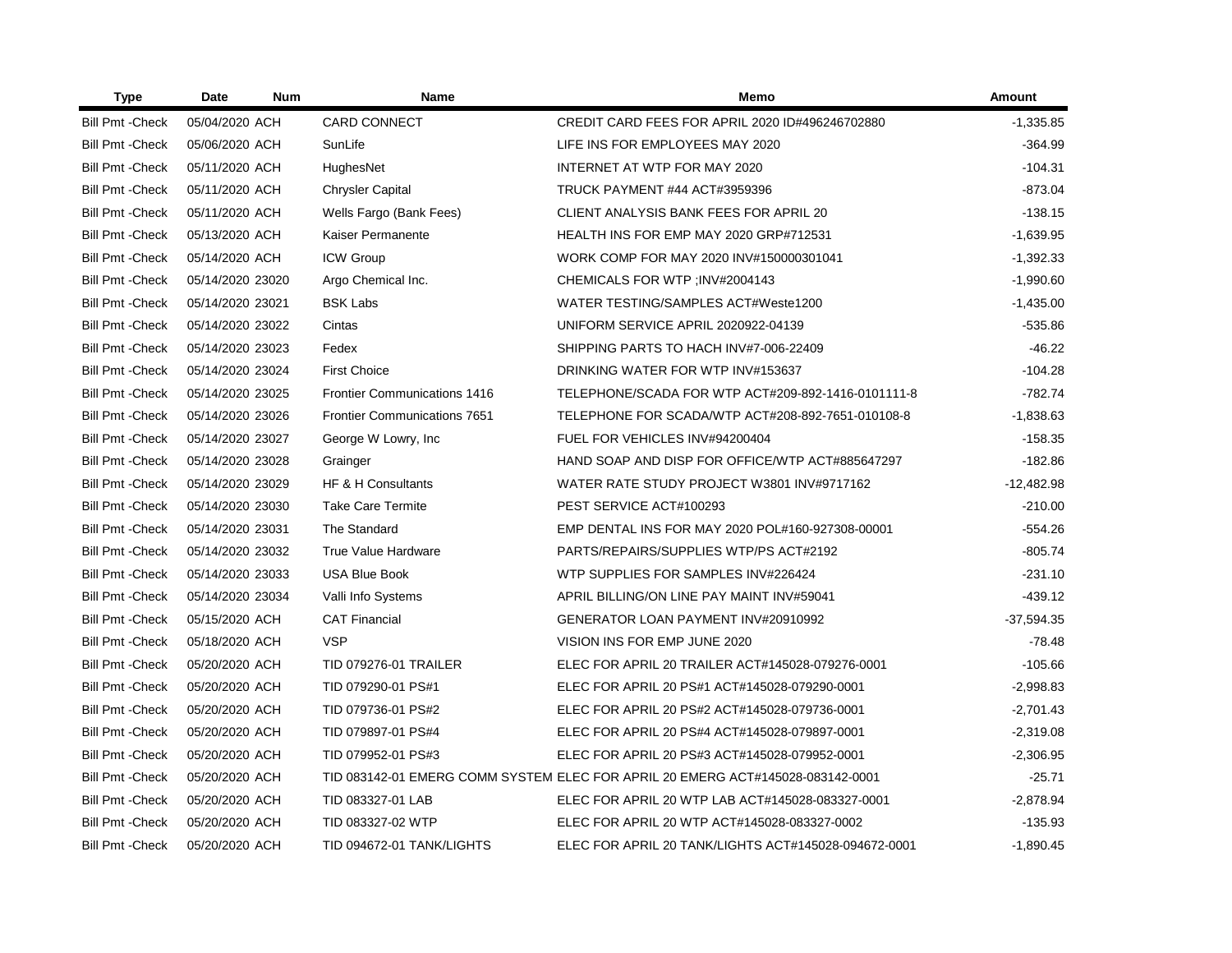| <b>Type</b>             | Date             | <b>Num</b> | Name                                | Memo                                                                           | <b>Amount</b> |
|-------------------------|------------------|------------|-------------------------------------|--------------------------------------------------------------------------------|---------------|
| <b>Bill Pmt - Check</b> | 05/04/2020 ACH   |            | <b>CARD CONNECT</b>                 | CREDIT CARD FEES FOR APRIL 2020 ID#496246702880                                | $-1,335.85$   |
| <b>Bill Pmt - Check</b> | 05/06/2020 ACH   |            | SunLife                             | LIFE INS FOR EMPLOYEES MAY 2020                                                | $-364.99$     |
| <b>Bill Pmt - Check</b> | 05/11/2020 ACH   |            | HughesNet                           | INTERNET AT WTP FOR MAY 2020                                                   | $-104.31$     |
| <b>Bill Pmt - Check</b> | 05/11/2020 ACH   |            | Chrysler Capital                    | TRUCK PAYMENT #44 ACT#3959396                                                  | $-873.04$     |
| <b>Bill Pmt - Check</b> | 05/11/2020 ACH   |            | Wells Fargo (Bank Fees)             | CLIENT ANALYSIS BANK FEES FOR APRIL 20                                         | $-138.15$     |
| <b>Bill Pmt - Check</b> | 05/13/2020 ACH   |            | Kaiser Permanente                   | HEALTH INS FOR EMP MAY 2020 GRP#712531                                         | $-1,639.95$   |
| <b>Bill Pmt - Check</b> | 05/14/2020 ACH   |            | <b>ICW Group</b>                    | WORK COMP FOR MAY 2020 INV#150000301041                                        | $-1,392.33$   |
| <b>Bill Pmt - Check</b> | 05/14/2020 23020 |            | Argo Chemical Inc.                  | CHEMICALS FOR WTP ; INV#2004143                                                | $-1,990.60$   |
| <b>Bill Pmt - Check</b> | 05/14/2020 23021 |            | <b>BSK Labs</b>                     | WATER TESTING/SAMPLES ACT#Weste1200                                            | $-1,435.00$   |
| <b>Bill Pmt - Check</b> | 05/14/2020 23022 |            | Cintas                              | UNIFORM SERVICE APRIL 2020922-04139                                            | $-535.86$     |
| <b>Bill Pmt - Check</b> | 05/14/2020 23023 |            | Fedex                               | SHIPPING PARTS TO HACH INV#7-006-22409                                         | $-46.22$      |
| <b>Bill Pmt - Check</b> | 05/14/2020 23024 |            | <b>First Choice</b>                 | DRINKING WATER FOR WTP INV#153637                                              | $-104.28$     |
| <b>Bill Pmt - Check</b> | 05/14/2020 23025 |            | <b>Frontier Communications 1416</b> | TELEPHONE/SCADA FOR WTP ACT#209-892-1416-0101111-8                             | $-782.74$     |
| <b>Bill Pmt - Check</b> | 05/14/2020 23026 |            | <b>Frontier Communications 7651</b> | TELEPHONE FOR SCADA/WTP ACT#208-892-7651-010108-8                              | $-1,838.63$   |
| <b>Bill Pmt - Check</b> | 05/14/2020 23027 |            | George W Lowry, Inc.                | FUEL FOR VEHICLES INV#94200404                                                 | $-158.35$     |
| <b>Bill Pmt - Check</b> | 05/14/2020 23028 |            | Grainger                            | HAND SOAP AND DISP FOR OFFICE/WTP ACT#885647297                                | $-182.86$     |
| <b>Bill Pmt - Check</b> | 05/14/2020 23029 |            | HF & H Consultants                  | WATER RATE STUDY PROJECT W3801 INV#9717162                                     | $-12,482.98$  |
| <b>Bill Pmt - Check</b> | 05/14/2020 23030 |            | <b>Take Care Termite</b>            | PEST SERVICE ACT#100293                                                        | $-210.00$     |
| <b>Bill Pmt - Check</b> | 05/14/2020 23031 |            | The Standard                        | EMP DENTAL INS FOR MAY 2020 POL#160-927308-00001                               | $-554.26$     |
| <b>Bill Pmt - Check</b> | 05/14/2020 23032 |            | <b>True Value Hardware</b>          | PARTS/REPAIRS/SUPPLIES WTP/PS ACT#2192                                         | $-805.74$     |
| <b>Bill Pmt - Check</b> | 05/14/2020 23033 |            | <b>USA Blue Book</b>                | WTP SUPPLIES FOR SAMPLES INV#226424                                            | $-231.10$     |
| <b>Bill Pmt - Check</b> | 05/14/2020 23034 |            | Valli Info Systems                  | APRIL BILLING/ON LINE PAY MAINT INV#59041                                      | $-439.12$     |
| <b>Bill Pmt - Check</b> | 05/15/2020 ACH   |            | <b>CAT Financial</b>                | GENERATOR LOAN PAYMENT INV#20910992                                            | $-37,594.35$  |
| <b>Bill Pmt - Check</b> | 05/18/2020 ACH   |            | <b>VSP</b>                          | VISION INS FOR EMP JUNE 2020                                                   | $-78.48$      |
| <b>Bill Pmt - Check</b> | 05/20/2020 ACH   |            | <b>TID 079276-01 TRAILER</b>        | ELEC FOR APRIL 20 TRAILER ACT#145028-079276-0001                               | $-105.66$     |
| <b>Bill Pmt - Check</b> | 05/20/2020 ACH   |            | TID 079290-01 PS#1                  | ELEC FOR APRIL 20 PS#1 ACT#145028-079290-0001                                  | $-2,998.83$   |
| <b>Bill Pmt - Check</b> | 05/20/2020 ACH   |            | TID 079736-01 PS#2                  | ELEC FOR APRIL 20 PS#2 ACT#145028-079736-0001                                  | $-2,701.43$   |
| <b>Bill Pmt - Check</b> | 05/20/2020 ACH   |            | TID 079897-01 PS#4                  | ELEC FOR APRIL 20 PS#4 ACT#145028-079897-0001                                  | $-2,319.08$   |
| <b>Bill Pmt - Check</b> | 05/20/2020 ACH   |            | TID 079952-01 PS#3                  | ELEC FOR APRIL 20 PS#3 ACT#145028-079952-0001                                  | $-2,306.95$   |
| <b>Bill Pmt - Check</b> | 05/20/2020 ACH   |            |                                     | TID 083142-01 EMERG COMM SYSTEM ELEC FOR APRIL 20 EMERG ACT#145028-083142-0001 | $-25.71$      |
| <b>Bill Pmt - Check</b> | 05/20/2020 ACH   |            | TID 083327-01 LAB                   | ELEC FOR APRIL 20 WTP LAB ACT#145028-083327-0001                               | $-2,878.94$   |
| <b>Bill Pmt - Check</b> | 05/20/2020 ACH   |            | TID 083327-02 WTP                   | ELEC FOR APRIL 20 WTP ACT#145028-083327-0002                                   | $-135.93$     |
| <b>Bill Pmt - Check</b> | 05/20/2020 ACH   |            | TID 094672-01 TANK/LIGHTS           | ELEC FOR APRIL 20 TANK/LIGHTS ACT#145028-094672-0001                           | $-1,890.45$   |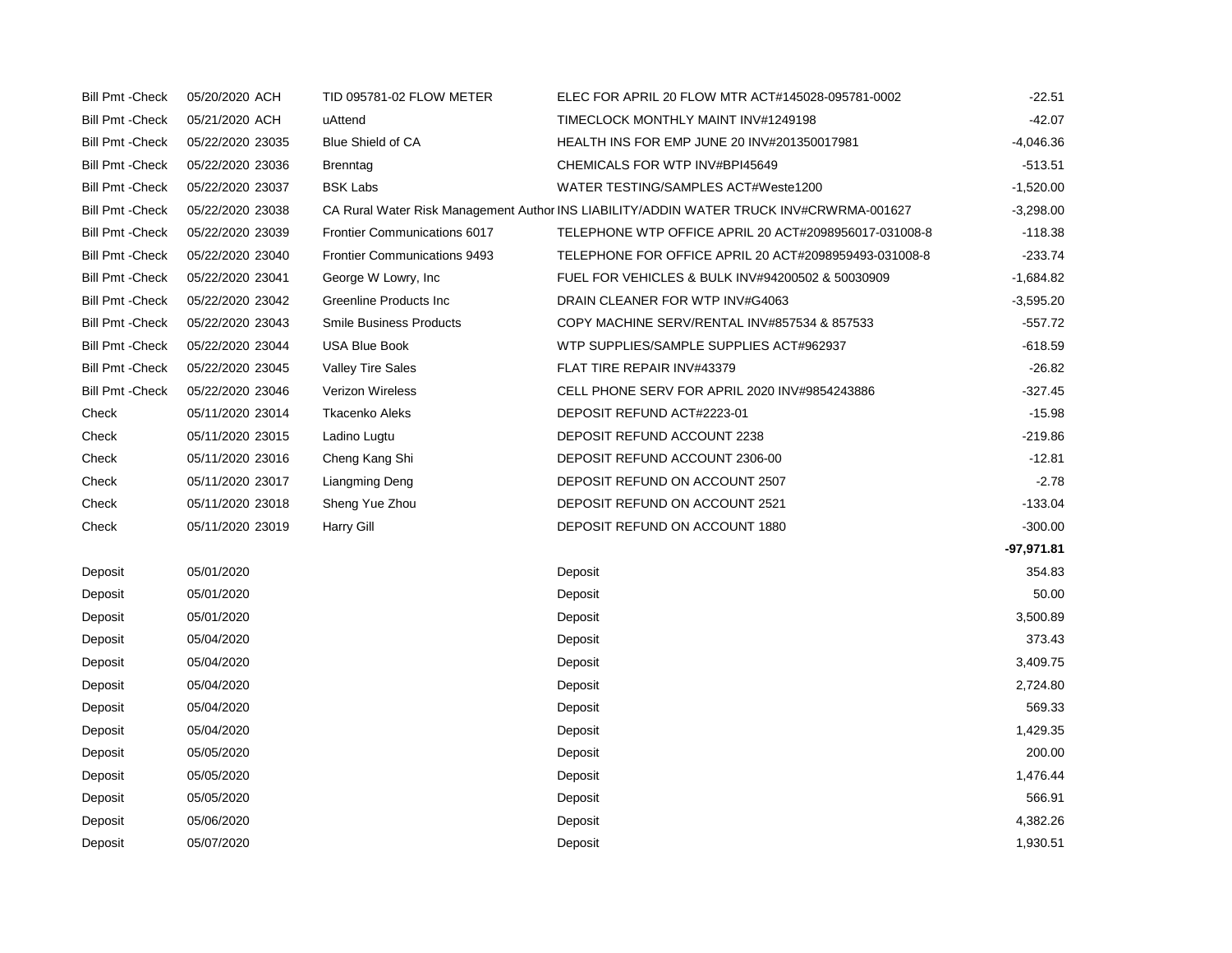| <b>Bill Pmt - Check</b> | 05/20/2020 ACH   | TID 095781-02 FLOW METER            | ELEC FOR APRIL 20 FLOW MTR ACT#145028-095781-0002                                       | $-22.51$     |
|-------------------------|------------------|-------------------------------------|-----------------------------------------------------------------------------------------|--------------|
| <b>Bill Pmt - Check</b> | 05/21/2020 ACH   | uAttend                             | TIMECLOCK MONTHLY MAINT INV#1249198                                                     | $-42.07$     |
| <b>Bill Pmt - Check</b> | 05/22/2020 23035 | Blue Shield of CA                   | HEALTH INS FOR EMP JUNE 20 INV#201350017981                                             | $-4,046.36$  |
| <b>Bill Pmt - Check</b> | 05/22/2020 23036 | Brenntag                            | CHEMICALS FOR WTP INV#BPI45649                                                          | $-513.51$    |
| <b>Bill Pmt - Check</b> | 05/22/2020 23037 | <b>BSK Labs</b>                     | WATER TESTING/SAMPLES ACT#Weste1200                                                     | $-1,520.00$  |
| <b>Bill Pmt - Check</b> | 05/22/2020 23038 |                                     | CA Rural Water Risk Management Author INS LIABILITY/ADDIN WATER TRUCK INV#CRWRMA-001627 | $-3,298.00$  |
| <b>Bill Pmt - Check</b> | 05/22/2020 23039 | <b>Frontier Communications 6017</b> | TELEPHONE WTP OFFICE APRIL 20 ACT#2098956017-031008-8                                   | $-118.38$    |
| <b>Bill Pmt - Check</b> | 05/22/2020 23040 | <b>Frontier Communications 9493</b> | TELEPHONE FOR OFFICE APRIL 20 ACT#2098959493-031008-8                                   | $-233.74$    |
| <b>Bill Pmt - Check</b> | 05/22/2020 23041 | George W Lowry, Inc.                | FUEL FOR VEHICLES & BULK INV#94200502 & 50030909                                        | $-1,684.82$  |
| <b>Bill Pmt - Check</b> | 05/22/2020 23042 | Greenline Products Inc              | DRAIN CLEANER FOR WTP INV#G4063                                                         | $-3,595.20$  |
| <b>Bill Pmt - Check</b> | 05/22/2020 23043 | <b>Smile Business Products</b>      | COPY MACHINE SERV/RENTAL INV#857534 & 857533                                            | $-557.72$    |
| <b>Bill Pmt - Check</b> | 05/22/2020 23044 | USA Blue Book                       | WTP SUPPLIES/SAMPLE SUPPLIES ACT#962937                                                 | $-618.59$    |
| <b>Bill Pmt - Check</b> | 05/22/2020 23045 | <b>Valley Tire Sales</b>            | FLAT TIRE REPAIR INV#43379                                                              | $-26.82$     |
| <b>Bill Pmt - Check</b> | 05/22/2020 23046 | <b>Verizon Wireless</b>             | CELL PHONE SERV FOR APRIL 2020 INV#9854243886                                           | $-327.45$    |
| Check                   | 05/11/2020 23014 | <b>Tkacenko Aleks</b>               | DEPOSIT REFUND ACT#2223-01                                                              | $-15.98$     |
| Check                   | 05/11/2020 23015 | Ladino Lugtu                        | DEPOSIT REFUND ACCOUNT 2238                                                             | $-219.86$    |
| Check                   | 05/11/2020 23016 | Cheng Kang Shi                      | DEPOSIT REFUND ACCOUNT 2306-00                                                          | $-12.81$     |
| Check                   | 05/11/2020 23017 | Liangming Deng                      | DEPOSIT REFUND ON ACCOUNT 2507                                                          | $-2.78$      |
| Check                   | 05/11/2020 23018 | Sheng Yue Zhou                      | DEPOSIT REFUND ON ACCOUNT 2521                                                          | $-133.04$    |
| Check                   | 05/11/2020 23019 | Harry Gill                          | DEPOSIT REFUND ON ACCOUNT 1880                                                          | $-300.00$    |
|                         |                  |                                     |                                                                                         | $-97,971.81$ |
| Deposit                 | 05/01/2020       |                                     | Deposit                                                                                 | 354.83       |
| Deposit                 | 05/01/2020       |                                     | Deposit                                                                                 | 50.00        |
| Deposit                 | 05/01/2020       |                                     | Deposit                                                                                 | 3,500.89     |
| Deposit                 | 05/04/2020       |                                     | Deposit                                                                                 | 373.43       |
| Deposit                 | 05/04/2020       |                                     | Deposit                                                                                 | 3,409.75     |
| Deposit                 | 05/04/2020       |                                     | Deposit                                                                                 | 2,724.80     |
| Deposit                 | 05/04/2020       |                                     | Deposit                                                                                 | 569.33       |
| Deposit                 | 05/04/2020       |                                     | Deposit                                                                                 | 1,429.35     |
| Deposit                 | 05/05/2020       |                                     | Deposit                                                                                 | 200.00       |
| Deposit                 | 05/05/2020       |                                     | Deposit                                                                                 | 1,476.44     |
| Deposit                 | 05/05/2020       |                                     | Deposit                                                                                 | 566.91       |
| Deposit                 | 05/06/2020       |                                     | Deposit                                                                                 | 4,382.26     |
| Deposit                 | 05/07/2020       |                                     | Deposit                                                                                 | 1,930.51     |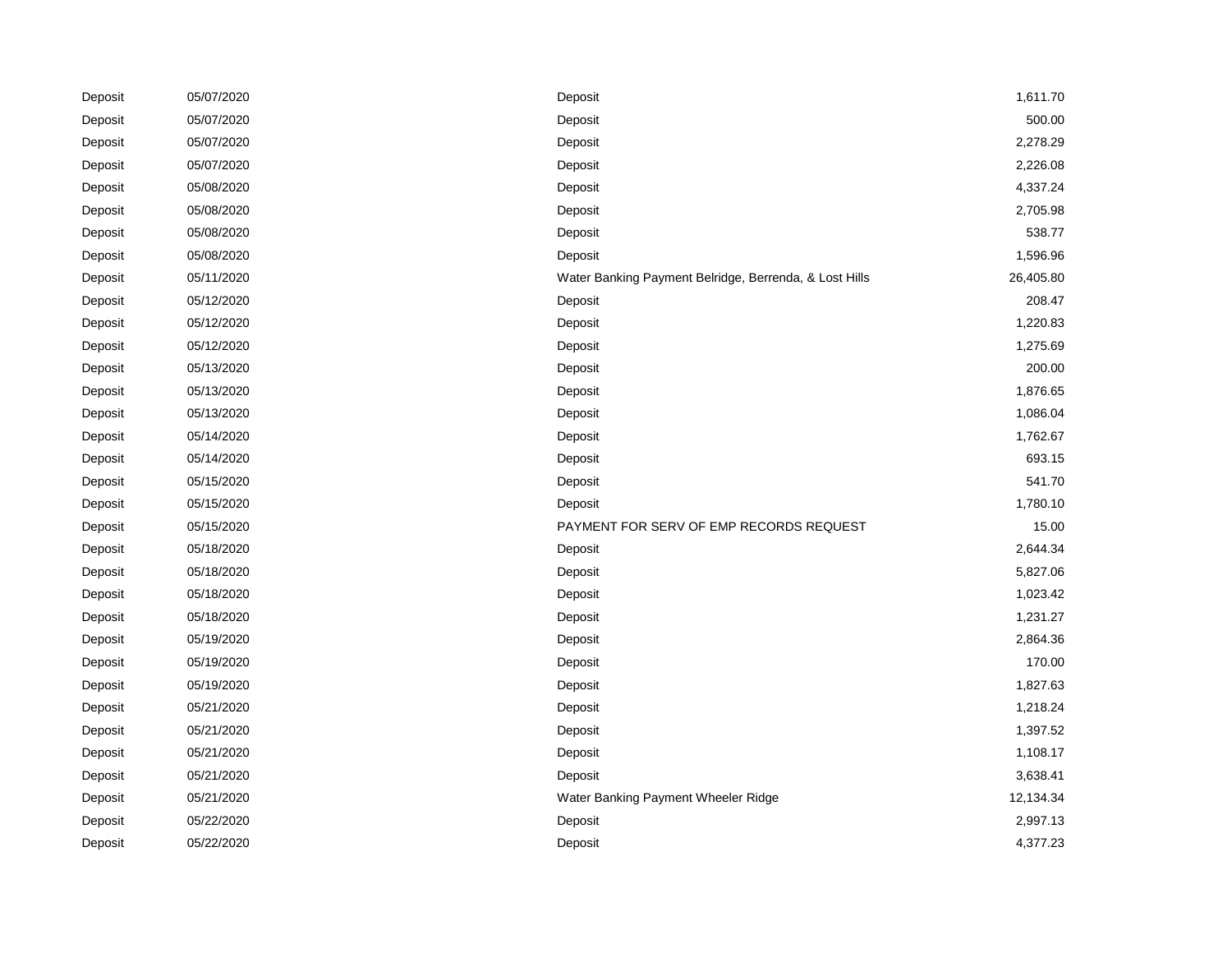| Deposit | 05/07/2020 | Deposit                                                | 1,611.70  |
|---------|------------|--------------------------------------------------------|-----------|
| Deposit | 05/07/2020 | Deposit                                                | 500.00    |
| Deposit | 05/07/2020 | Deposit                                                | 2,278.29  |
| Deposit | 05/07/2020 | Deposit                                                | 2,226.08  |
| Deposit | 05/08/2020 | Deposit                                                | 4,337.24  |
| Deposit | 05/08/2020 | Deposit                                                | 2,705.98  |
| Deposit | 05/08/2020 | Deposit                                                | 538.77    |
| Deposit | 05/08/2020 | Deposit                                                | 1,596.96  |
| Deposit | 05/11/2020 | Water Banking Payment Belridge, Berrenda, & Lost Hills | 26,405.80 |
| Deposit | 05/12/2020 | Deposit                                                | 208.47    |
| Deposit | 05/12/2020 | Deposit                                                | 1,220.83  |
| Deposit | 05/12/2020 | Deposit                                                | 1,275.69  |
| Deposit | 05/13/2020 | Deposit                                                | 200.00    |
| Deposit | 05/13/2020 | Deposit                                                | 1,876.65  |
| Deposit | 05/13/2020 | Deposit                                                | 1,086.04  |
| Deposit | 05/14/2020 | Deposit                                                | 1,762.67  |
| Deposit | 05/14/2020 | Deposit                                                | 693.15    |
| Deposit | 05/15/2020 | Deposit                                                | 541.70    |
| Deposit | 05/15/2020 | Deposit                                                | 1,780.10  |
| Deposit | 05/15/2020 | PAYMENT FOR SERV OF EMP RECORDS REQUEST                | 15.00     |
| Deposit | 05/18/2020 | Deposit                                                | 2,644.34  |
| Deposit | 05/18/2020 | Deposit                                                | 5,827.06  |
| Deposit | 05/18/2020 | Deposit                                                | 1,023.42  |
| Deposit | 05/18/2020 | Deposit                                                | 1,231.27  |
| Deposit | 05/19/2020 | Deposit                                                | 2,864.36  |
| Deposit | 05/19/2020 | Deposit                                                | 170.00    |
| Deposit | 05/19/2020 | Deposit                                                | 1,827.63  |
| Deposit | 05/21/2020 | Deposit                                                | 1,218.24  |
| Deposit | 05/21/2020 | Deposit                                                | 1,397.52  |
| Deposit | 05/21/2020 | Deposit                                                | 1,108.17  |
| Deposit | 05/21/2020 | Deposit                                                | 3,638.41  |
| Deposit | 05/21/2020 | Water Banking Payment Wheeler Ridge                    | 12,134.34 |
| Deposit | 05/22/2020 | Deposit                                                | 2,997.13  |
| Deposit | 05/22/2020 | Deposit                                                | 4,377.23  |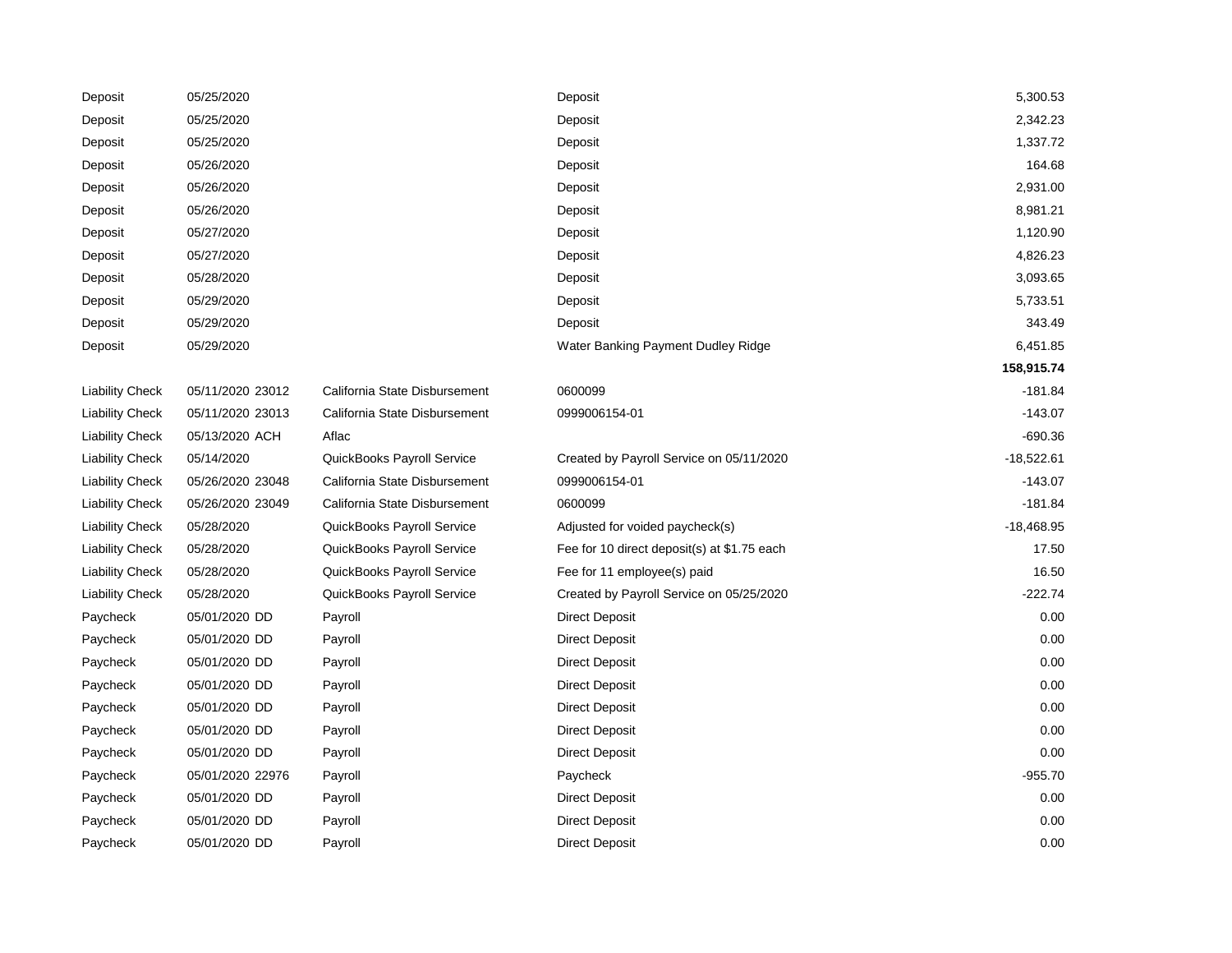| Deposit                | 05/25/2020       |                               | Deposit                                     | 5,300.53     |
|------------------------|------------------|-------------------------------|---------------------------------------------|--------------|
| Deposit                | 05/25/2020       |                               | Deposit                                     | 2,342.23     |
| Deposit                | 05/25/2020       |                               | Deposit                                     | 1,337.72     |
| Deposit                | 05/26/2020       |                               | Deposit                                     | 164.68       |
| Deposit                | 05/26/2020       |                               | Deposit                                     | 2,931.00     |
| Deposit                | 05/26/2020       |                               | Deposit                                     | 8,981.21     |
| Deposit                | 05/27/2020       |                               | Deposit                                     | 1,120.90     |
| Deposit                | 05/27/2020       |                               | Deposit                                     | 4,826.23     |
| Deposit                | 05/28/2020       |                               | Deposit                                     | 3,093.65     |
| Deposit                | 05/29/2020       |                               | Deposit                                     | 5,733.51     |
| Deposit                | 05/29/2020       |                               | Deposit                                     | 343.49       |
| Deposit                | 05/29/2020       |                               | Water Banking Payment Dudley Ridge          | 6,451.85     |
|                        |                  |                               |                                             | 158,915.74   |
| <b>Liability Check</b> | 05/11/2020 23012 | California State Disbursement | 0600099                                     | $-181.84$    |
| <b>Liability Check</b> | 05/11/2020 23013 | California State Disbursement | 0999006154-01                               | $-143.07$    |
| <b>Liability Check</b> | 05/13/2020 ACH   | Aflac                         |                                             | $-690.36$    |
| <b>Liability Check</b> | 05/14/2020       | QuickBooks Payroll Service    | Created by Payroll Service on 05/11/2020    | $-18,522.61$ |
| <b>Liability Check</b> | 05/26/2020 23048 | California State Disbursement | 0999006154-01                               | $-143.07$    |
| <b>Liability Check</b> | 05/26/2020 23049 | California State Disbursement | 0600099                                     | $-181.84$    |
| <b>Liability Check</b> | 05/28/2020       | QuickBooks Payroll Service    | Adjusted for voided paycheck(s)             | $-18,468.95$ |
| <b>Liability Check</b> | 05/28/2020       | QuickBooks Payroll Service    | Fee for 10 direct deposit(s) at \$1.75 each | 17.50        |
| <b>Liability Check</b> | 05/28/2020       | QuickBooks Payroll Service    | Fee for 11 employee(s) paid                 | 16.50        |
| <b>Liability Check</b> | 05/28/2020       | QuickBooks Payroll Service    | Created by Payroll Service on 05/25/2020    | $-222.74$    |
| Paycheck               | 05/01/2020 DD    | Payroll                       | <b>Direct Deposit</b>                       | 0.00         |
| Paycheck               | 05/01/2020 DD    | Payroll                       | Direct Deposit                              | 0.00         |
| Paycheck               | 05/01/2020 DD    | Payroll                       | <b>Direct Deposit</b>                       | 0.00         |
| Paycheck               | 05/01/2020 DD    | Payroll                       | <b>Direct Deposit</b>                       | 0.00         |
| Paycheck               | 05/01/2020 DD    | Payroll                       | <b>Direct Deposit</b>                       | 0.00         |
| Paycheck               | 05/01/2020 DD    | Payroll                       | <b>Direct Deposit</b>                       | 0.00         |
| Paycheck               | 05/01/2020 DD    | Payroll                       | <b>Direct Deposit</b>                       | 0.00         |
| Paycheck               | 05/01/2020 22976 | Payroll                       | Paycheck                                    | $-955.70$    |
| Paycheck               | 05/01/2020 DD    | Payroll                       | <b>Direct Deposit</b>                       | 0.00         |
| Paycheck               | 05/01/2020 DD    | Payroll                       | <b>Direct Deposit</b>                       | 0.00         |
| Paycheck               | 05/01/2020 DD    | Payroll                       | <b>Direct Deposit</b>                       | 0.00         |